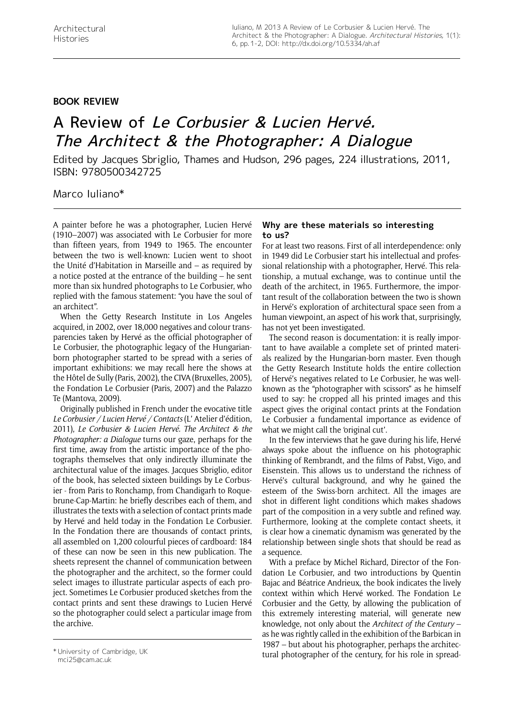## **Book Review**

## A Review of Le Corbusier & Lucien Hervé. The Architect & the Photographer: A Dialogue

Edited by Jacques Sbriglio, Thames and Hudson, 296 pages, 224 illustrations, 2011, ISBN: 9780500342725

## Marco Iuliano\*

A painter before he was a photographer, Lucien Hervé (1910–2007) was associated with Le Corbusier for more than fifteen years, from 1949 to 1965. The encounter between the two is well-known: Lucien went to shoot the Unité d'Habitation in Marseille and – as required by a notice posted at the entrance of the building – he sent more than six hundred photographs to Le Corbusier, who replied with the famous statement: "you have the soul of an architect".

When the Getty Research Institute in Los Angeles acquired, in 2002, over 18,000 negatives and colour transparencies taken by Hervé as the official photographer of Le Corbusier, the photographic legacy of the Hungarianborn photographer started to be spread with a series of important exhibitions: we may recall here the shows at the Hôtel de Sully (Paris, 2002), the CIVA (Bruxelles, 2005), the Fondation Le Corbusier (Paris, 2007) and the Palazzo Te (Mantova, 2009).

Originally published in French under the evocative title *Le Corbusier / Lucien Hervé / Contacts* (L' Atelier d'édition, 2011), *Le Corbusier & Lucien Hervé. The Architect & the Photographer: a Dialogue* turns our gaze, perhaps for the first time, away from the artistic importance of the photographs themselves that only indirectly illuminate the architectural value of the images. Jacques Sbriglio, editor of the book, has selected sixteen buildings by Le Corbusier - from Paris to Ronchamp, from Chandigarh to Roquebrune-Cap-Martin: he briefly describes each of them, and illustrates the texts with a selection of contact prints made by Hervé and held today in the Fondation Le Corbusier. In the Fondation there are thousands of contact prints, all assembled on 1,200 colourful pieces of cardboard: 184 of these can now be seen in this new publication. The sheets represent the channel of communication between the photographer and the architect, so the former could select images to illustrate particular aspects of each project. Sometimes Le Corbusier produced sketches from the contact prints and sent these drawings to Lucien Hervé so the photographer could select a particular image from the archive.

## **Why are these materials so interesting to us?**

For at least two reasons. First of all interdependence: only in 1949 did Le Corbusier start his intellectual and professional relationship with a photographer, Hervé. This relationship, a mutual exchange, was to continue until the death of the architect, in 1965. Furthermore, the important result of the collaboration between the two is shown in Hervé's exploration of architectural space seen from a human viewpoint, an aspect of his work that, surprisingly, has not yet been investigated.

The second reason is documentation: it is really important to have available a complete set of printed materials realized by the Hungarian-born master. Even though the Getty Research Institute holds the entire collection of Hervé's negatives related to Le Corbusier, he was wellknown as the "photographer with scissors" as he himself used to say: he cropped all his printed images and this aspect gives the original contact prints at the Fondation Le Corbusier a fundamental importance as evidence of what we might call the 'original cut'.

In the few interviews that he gave during his life, Hervé always spoke about the influence on his photographic thinking of Rembrandt, and the films of Pabst, Vigo, and Eisenstein. This allows us to understand the richness of Hervé's cultural background, and why he gained the esteem of the Swiss-born architect. All the images are shot in different light conditions which makes shadows part of the composition in a very subtle and refined way. Furthermore, looking at the complete contact sheets, it is clear how a cinematic dynamism was generated by the relationship between single shots that should be read as a sequence.

With a preface by Michel Richard, Director of the Fondation Le Corbusier, and two introductions by Quentin Bajac and Béatrice Andrieux, the book indicates the lively context within which Hervé worked. The Fondation Le Corbusier and the Getty, by allowing the publication of this extremely interesting material, will generate new knowledge, not only about the *Architect of the Century* – as he was rightly called in the exhibition of the Barbican in 1987 – but about his photographer, perhaps the architec-\*University of Cambridge, UK<br>tural photographer of the century, for his role in spread-

mci25@cam.ac.uk